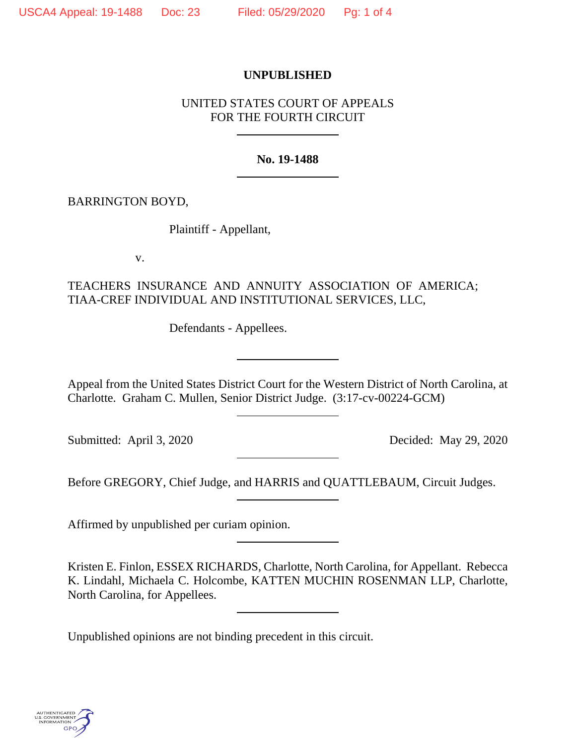### **UNPUBLISHED**

### UNITED STATES COURT OF APPEALS FOR THE FOURTH CIRCUIT

#### **No. 19-1488**

### BARRINGTON BOYD,

Plaintiff - Appellant,

v.

# TEACHERS INSURANCE AND ANNUITY ASSOCIATION OF AMERICA; TIAA-CREF INDIVIDUAL AND INSTITUTIONAL SERVICES, LLC,

Defendants - Appellees.

Appeal from the United States District Court for the Western District of North Carolina, at Charlotte. Graham C. Mullen, Senior District Judge. (3:17-cv-00224-GCM)

Submitted: April 3, 2020 Decided: May 29, 2020

Before GREGORY, Chief Judge, and HARRIS and QUATTLEBAUM, Circuit Judges.

Affirmed by unpublished per curiam opinion.

Kristen E. Finlon, ESSEX RICHARDS, Charlotte, North Carolina, for Appellant. Rebecca K. Lindahl, Michaela C. Holcombe, KATTEN MUCHIN ROSENMAN LLP, Charlotte, North Carolina, for Appellees.

Unpublished opinions are not binding precedent in this circuit.

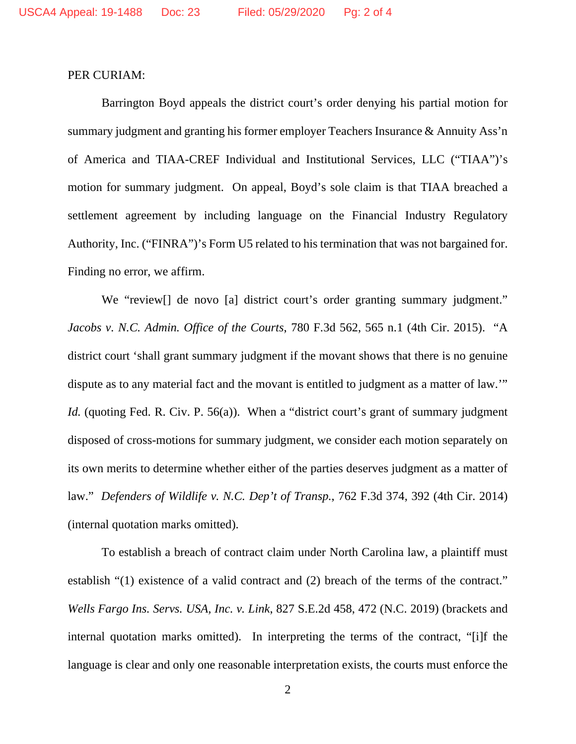#### PER CURIAM:

Barrington Boyd appeals the district court's order denying his partial motion for summary judgment and granting his former employer Teachers Insurance & Annuity Ass'n of America and TIAA-CREF Individual and Institutional Services, LLC ("TIAA")'s motion for summary judgment. On appeal, Boyd's sole claim is that TIAA breached a settlement agreement by including language on the Financial Industry Regulatory Authority, Inc. ("FINRA")'s Form U5 related to his termination that was not bargained for. Finding no error, we affirm.

We "review at least over a left district court's order granting summary judgment." *Jacobs v. N.C. Admin. Office of the Courts*, 780 F.3d 562, 565 n.1 (4th Cir. 2015). "A district court 'shall grant summary judgment if the movant shows that there is no genuine dispute as to any material fact and the movant is entitled to judgment as a matter of law.'" *Id.* (quoting Fed. R. Civ. P. 56(a)). When a "district court's grant of summary judgment disposed of cross-motions for summary judgment, we consider each motion separately on its own merits to determine whether either of the parties deserves judgment as a matter of law." *Defenders of Wildlife v. N.C. Dep't of Transp.*, 762 F.3d 374, 392 (4th Cir. 2014) (internal quotation marks omitted).

To establish a breach of contract claim under North Carolina law, a plaintiff must establish "(1) existence of a valid contract and (2) breach of the terms of the contract." *Wells Fargo Ins. Servs. USA, Inc. v. Link*, 827 S.E.2d 458, 472 (N.C. 2019) (brackets and internal quotation marks omitted). In interpreting the terms of the contract, "[i]f the language is clear and only one reasonable interpretation exists, the courts must enforce the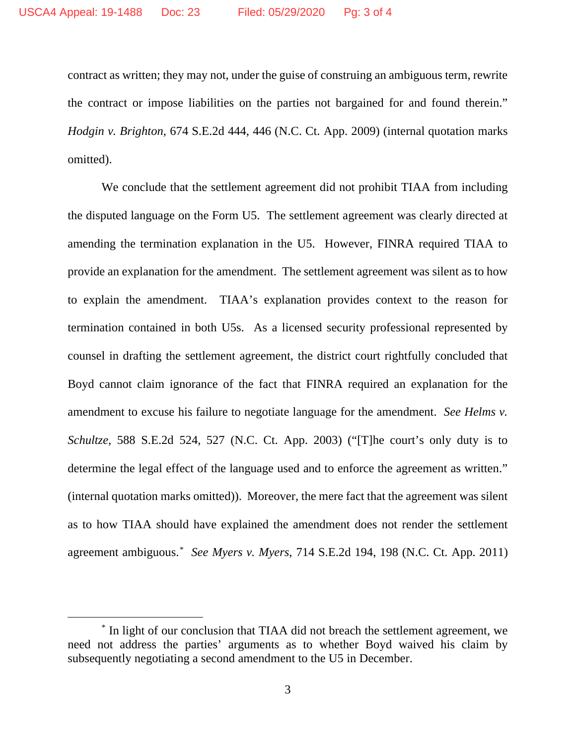contract as written; they may not, under the guise of construing an ambiguous term, rewrite the contract or impose liabilities on the parties not bargained for and found therein." *Hodgin v. Brighton*, 674 S.E.2d 444, 446 (N.C. Ct. App. 2009) (internal quotation marks omitted).

We conclude that the settlement agreement did not prohibit TIAA from including the disputed language on the Form U5. The settlement agreement was clearly directed at amending the termination explanation in the U5. However, FINRA required TIAA to provide an explanation for the amendment. The settlement agreement was silent as to how to explain the amendment. TIAA's explanation provides context to the reason for termination contained in both U5s. As a licensed security professional represented by counsel in drafting the settlement agreement, the district court rightfully concluded that Boyd cannot claim ignorance of the fact that FINRA required an explanation for the amendment to excuse his failure to negotiate language for the amendment. *See Helms v. Schultze*, 588 S.E.2d 524, 527 (N.C. Ct. App. 2003) ("[T]he court's only duty is to determine the legal effect of the language used and to enforce the agreement as written." (internal quotation marks omitted)). Moreover, the mere fact that the agreement was silent as to how TIAA should have explained the amendment does not render the settlement agreement ambiguous.[\\*](#page-2-0) *See Myers v. Myers*, 714 S.E.2d 194, 198 (N.C. Ct. App. 2011)

<span id="page-2-0"></span><sup>\*</sup> In light of our conclusion that TIAA did not breach the settlement agreement, we need not address the parties' arguments as to whether Boyd waived his claim by subsequently negotiating a second amendment to the U5 in December.